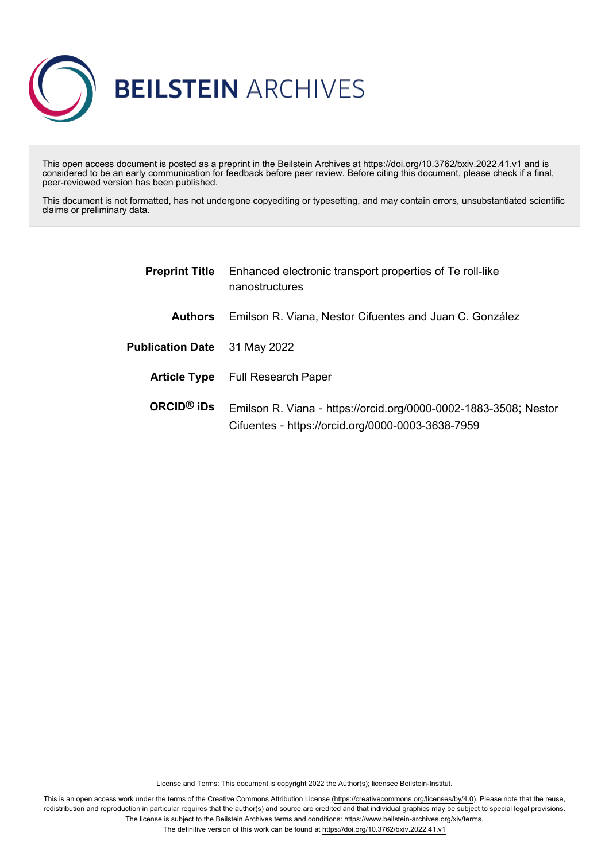

This open access document is posted as a preprint in the Beilstein Archives at https://doi.org/10.3762/bxiv.2022.41.v1 and is considered to be an early communication for feedback before peer review. Before citing this document, please check if a final, peer-reviewed version has been published.

This document is not formatted, has not undergone copyediting or typesetting, and may contain errors, unsubstantiated scientific claims or preliminary data.

| <b>Preprint Title</b>   | Enhanced electronic transport properties of Te roll-like<br>nanostructures                                            |
|-------------------------|-----------------------------------------------------------------------------------------------------------------------|
| <b>Authors</b>          | Emilson R. Viana, Nestor Cifuentes and Juan C. González                                                               |
| <b>Publication Date</b> | 31 May 2022                                                                                                           |
|                         | <b>Article Type</b> Full Research Paper                                                                               |
| $ORCID®$ iDs            | Emilson R. Viana - https://orcid.org/0000-0002-1883-3508; Nestor<br>Cifuentes - https://orcid.org/0000-0003-3638-7959 |

License and Terms: This document is copyright 2022 the Author(s); licensee Beilstein-Institut.

This is an open access work under the terms of the Creative Commons Attribution License [\(https://creativecommons.org/licenses/by/4.0\)](https://creativecommons.org/licenses/by/4.0). Please note that the reuse, redistribution and reproduction in particular requires that the author(s) and source are credited and that individual graphics may be subject to special legal provisions. The license is subject to the Beilstein Archives terms and conditions: [https://www.beilstein-archives.org/xiv/terms.](https://www.beilstein-archives.org/xiv/terms)

The definitive version of this work can be found at <https://doi.org/10.3762/bxiv.2022.41.v1>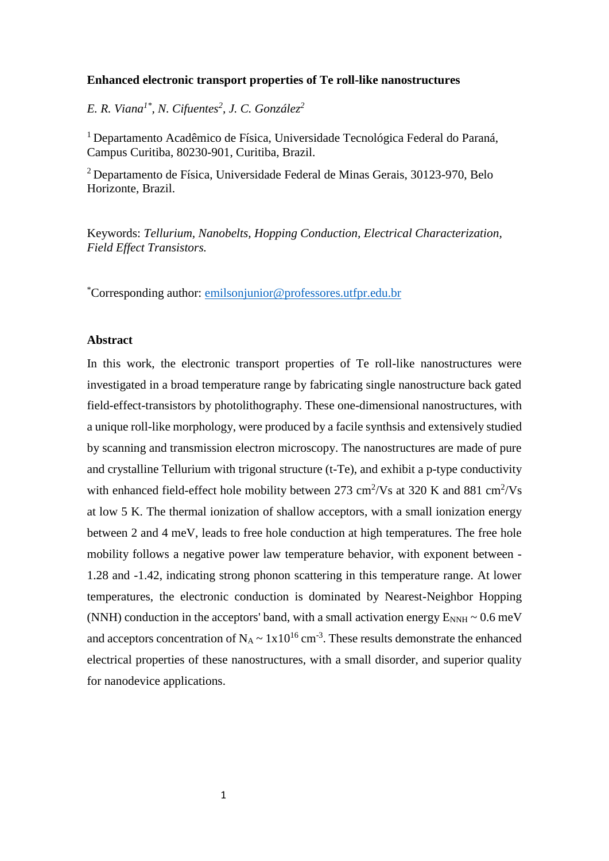### **Enhanced electronic transport properties of Te roll-like nanostructures**

*E. R. Viana1\* , N. Cifuentes<sup>2</sup> , J. C. González<sup>2</sup>*

<sup>1</sup> Departamento Acadêmico de Física, Universidade Tecnológica Federal do Paraná, Campus Curitiba, 80230-901, Curitiba, Brazil.

<sup>2</sup> Departamento de Física, Universidade Federal de Minas Gerais, 30123-970, Belo Horizonte, Brazil.

Keywords: *Tellurium, Nanobelts, Hopping Conduction, Electrical Characterization, Field Effect Transistors.*

\*Corresponding author: emilsonjunior@professores.utfpr.edu.br

## **Abstract**

In this work, the electronic transport properties of Te roll-like nanostructures were investigated in a broad temperature range by fabricating single nanostructure back gated field-effect-transistors by photolithography. These one-dimensional nanostructures, with a unique roll-like morphology, were produced by a facile synthsis and extensively studied by scanning and transmission electron microscopy. The nanostructures are made of pure and crystalline Tellurium with trigonal structure (t-Te), and exhibit a p-type conductivity with enhanced field-effect hole mobility between 273 cm<sup>2</sup>/Vs at 320 K and 881 cm<sup>2</sup>/Vs at low 5 K. The thermal ionization of shallow acceptors, with a small ionization energy between 2 and 4 meV, leads to free hole conduction at high temperatures. The free hole mobility follows a negative power law temperature behavior, with exponent between - 1.28 and -1.42, indicating strong phonon scattering in this temperature range. At lower temperatures, the electronic conduction is dominated by Nearest-Neighbor Hopping (NNH) conduction in the acceptors' band, with a small activation energy  $E_{NNH} \sim 0.6$  meV and acceptors concentration of  $N_A \sim 1x10^{16}$  cm<sup>-3</sup>. These results demonstrate the enhanced electrical properties of these nanostructures, with a small disorder, and superior quality for nanodevice applications.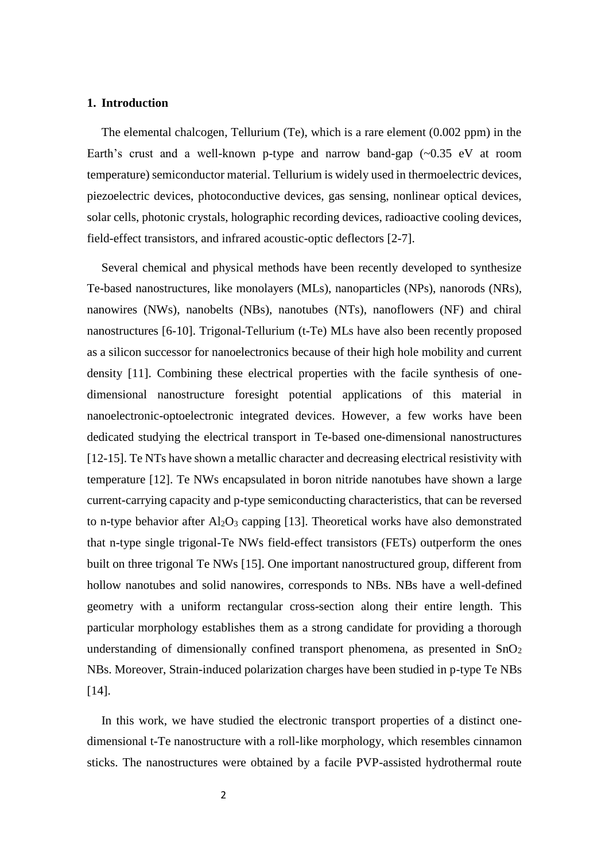### **1. Introduction**

The elemental chalcogen, Tellurium (Te), which is a rare element (0.002 ppm) in the Earth's crust and a well-known p-type and narrow band-gap (~0.35 eV at room temperature) semiconductor material. Tellurium is widely used in thermoelectric devices, piezoelectric devices, photoconductive devices, gas sensing, nonlinear optical devices, solar cells, photonic crystals, holographic recording devices, radioactive cooling devices, field-effect transistors, and infrared acoustic-optic deflectors [2-7].

Several chemical and physical methods have been recently developed to synthesize Te-based nanostructures, like monolayers (MLs), nanoparticles (NPs), nanorods (NRs), nanowires (NWs), nanobelts (NBs), nanotubes (NTs), nanoflowers (NF) and chiral nanostructures [6-10]. Trigonal-Tellurium (t-Te) MLs have also been recently proposed as a silicon successor for nanoelectronics because of their high hole mobility and current density [11]. Combining these electrical properties with the facile synthesis of onedimensional nanostructure foresight potential applications of this material in nanoelectronic-optoelectronic integrated devices. However, a few works have been dedicated studying the electrical transport in Te-based one-dimensional nanostructures [12-15]. Te NTs have shown a metallic character and decreasing electrical resistivity with temperature [12]. Te NWs encapsulated in boron nitride nanotubes have shown a large current-carrying capacity and p-type semiconducting characteristics, that can be reversed to n-type behavior after  $Al_2O_3$  capping [13]. Theoretical works have also demonstrated that n-type single trigonal-Te NWs field-effect transistors (FETs) outperform the ones built on three trigonal Te NWs [15]. One important nanostructured group, different from hollow nanotubes and solid nanowires, corresponds to NBs. NBs have a well-defined geometry with a uniform rectangular cross-section along their entire length. This particular morphology establishes them as a strong candidate for providing a thorough understanding of dimensionally confined transport phenomena, as presented in  $SnO<sub>2</sub>$ NBs. Moreover, Strain-induced polarization charges have been studied in p-type Te NBs [14].

In this work, we have studied the electronic transport properties of a distinct onedimensional t-Te nanostructure with a roll-like morphology, which resembles cinnamon sticks. The nanostructures were obtained by a facile PVP-assisted hydrothermal route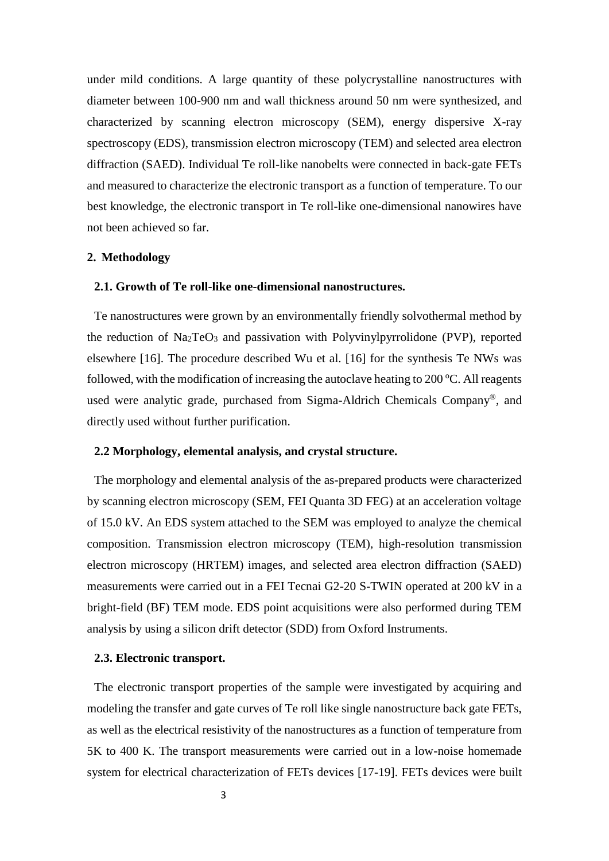under mild conditions. A large quantity of these polycrystalline nanostructures with diameter between 100-900 nm and wall thickness around 50 nm were synthesized, and characterized by scanning electron microscopy (SEM), energy dispersive X-ray spectroscopy (EDS), transmission electron microscopy (TEM) and selected area electron diffraction (SAED). Individual Te roll-like nanobelts were connected in back-gate FETs and measured to characterize the electronic transport as a function of temperature. To our best knowledge, the electronic transport in Te roll-like one-dimensional nanowires have not been achieved so far.

## **2. Methodology**

## **2.1. Growth of Te roll-like one-dimensional nanostructures.**

Te nanostructures were grown by an environmentally friendly solvothermal method by the reduction of  $Na<sub>2</sub>TeO<sub>3</sub>$  and passivation with Polyvinylpyrrolidone (PVP), reported elsewhere [16]. The procedure described Wu et al. [16] for the synthesis Te NWs was followed, with the modification of increasing the autoclave heating to  $200^{\circ}$ C. All reagents used were analytic grade, purchased from Sigma-Aldrich Chemicals Company®, and directly used without further purification.

### **2.2 Morphology, elemental analysis, and crystal structure.**

The morphology and elemental analysis of the as-prepared products were characterized by scanning electron microscopy (SEM, FEI Quanta 3D FEG) at an acceleration voltage of 15.0 kV. An EDS system attached to the SEM was employed to analyze the chemical composition. Transmission electron microscopy (TEM), high-resolution transmission electron microscopy (HRTEM) images, and selected area electron diffraction (SAED) measurements were carried out in a FEI Tecnai G2-20 S-TWIN operated at 200 kV in a bright-field (BF) TEM mode. EDS point acquisitions were also performed during TEM analysis by using a silicon drift detector (SDD) from Oxford Instruments.

#### **2.3. Electronic transport.**

The electronic transport properties of the sample were investigated by acquiring and modeling the transfer and gate curves of Te roll like single nanostructure back gate FETs, as well as the electrical resistivity of the nanostructures as a function of temperature from 5K to 400 K. The transport measurements were carried out in a low-noise homemade system for electrical characterization of FETs devices [17-19]. FETs devices were built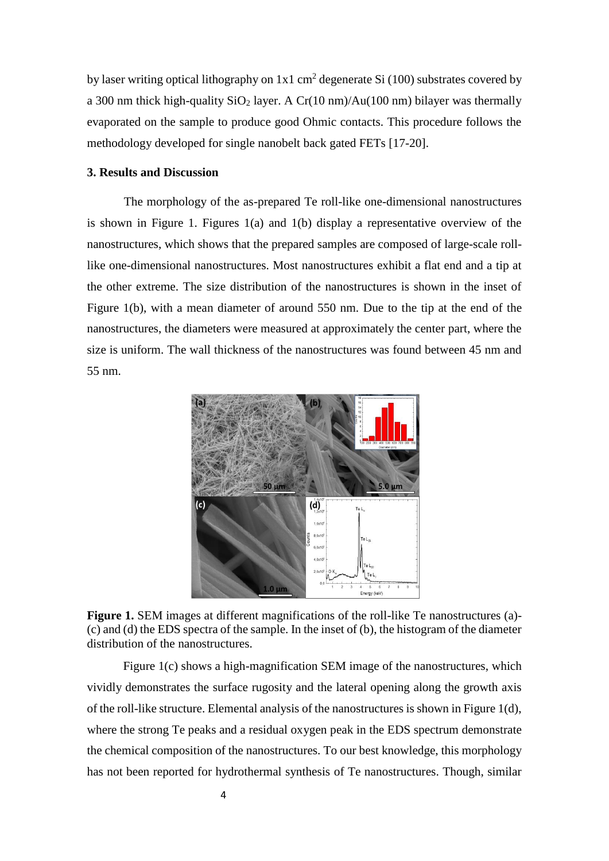by laser writing optical lithography on  $1x1$  cm<sup>2</sup> degenerate Si (100) substrates covered by a 300 nm thick high-quality  $SiO<sub>2</sub>$  layer. A Cr(10 nm)/Au(100 nm) bilayer was thermally evaporated on the sample to produce good Ohmic contacts. This procedure follows the methodology developed for single nanobelt back gated FETs [17-20].

## **3. Results and Discussion**

The morphology of the as-prepared Te roll-like one-dimensional nanostructures is shown in Figure 1. Figures 1(a) and 1(b) display a representative overview of the nanostructures, which shows that the prepared samples are composed of large-scale rolllike one-dimensional nanostructures. Most nanostructures exhibit a flat end and a tip at the other extreme. The size distribution of the nanostructures is shown in the inset of Figure 1(b), with a mean diameter of around 550 nm. Due to the tip at the end of the nanostructures, the diameters were measured at approximately the center part, where the size is uniform. The wall thickness of the nanostructures was found between 45 nm and 55 nm.



Figure 1. SEM images at different magnifications of the roll-like Te nanostructures (a)-(c) and (d) the EDS spectra of the sample. In the inset of (b), the histogram of the diameter distribution of the nanostructures.

Figure 1(c) shows a high-magnification SEM image of the nanostructures, which vividly demonstrates the surface rugosity and the lateral opening along the growth axis of the roll-like structure. Elemental analysis of the nanostructures is shown in Figure  $1(d)$ , where the strong Te peaks and a residual oxygen peak in the EDS spectrum demonstrate the chemical composition of the nanostructures. To our best knowledge, this morphology has not been reported for hydrothermal synthesis of Te nanostructures. Though, similar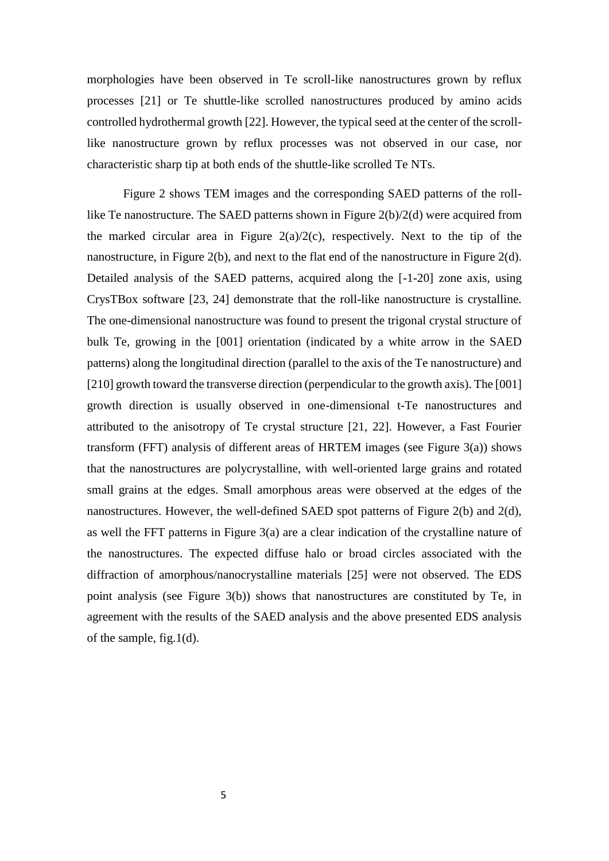morphologies have been observed in Te scroll-like nanostructures grown by reflux processes [21] or Te shuttle-like scrolled nanostructures produced by amino acids controlled hydrothermal growth [22]. However, the typical seed at the center of the scrolllike nanostructure grown by reflux processes was not observed in our case, nor characteristic sharp tip at both ends of the shuttle-like scrolled Te NTs.

Figure 2 shows TEM images and the corresponding SAED patterns of the rolllike Te nanostructure. The SAED patterns shown in Figure 2(b)/2(d) were acquired from the marked circular area in Figure  $2(a)/2(c)$ , respectively. Next to the tip of the nanostructure, in Figure 2(b), and next to the flat end of the nanostructure in Figure 2(d). Detailed analysis of the SAED patterns, acquired along the [-1-20] zone axis, using CrysTBox software [23, 24] demonstrate that the roll-like nanostructure is crystalline. The one-dimensional nanostructure was found to present the trigonal crystal structure of bulk Te, growing in the [001] orientation (indicated by a white arrow in the SAED patterns) along the longitudinal direction (parallel to the axis of the Te nanostructure) and [210] growth toward the transverse direction (perpendicular to the growth axis). The [001] growth direction is usually observed in one-dimensional t-Te nanostructures and attributed to the anisotropy of Te crystal structure [21, 22]. However, a Fast Fourier transform (FFT) analysis of different areas of HRTEM images (see Figure 3(a)) shows that the nanostructures are polycrystalline, with well-oriented large grains and rotated small grains at the edges. Small amorphous areas were observed at the edges of the nanostructures. However, the well-defined SAED spot patterns of Figure 2(b) and 2(d), as well the FFT patterns in Figure 3(a) are a clear indication of the crystalline nature of the nanostructures. The expected diffuse halo or broad circles associated with the diffraction of amorphous/nanocrystalline materials [25] were not observed. The EDS point analysis (see Figure 3(b)) shows that nanostructures are constituted by Te, in agreement with the results of the SAED analysis and the above presented EDS analysis of the sample, fig.1(d).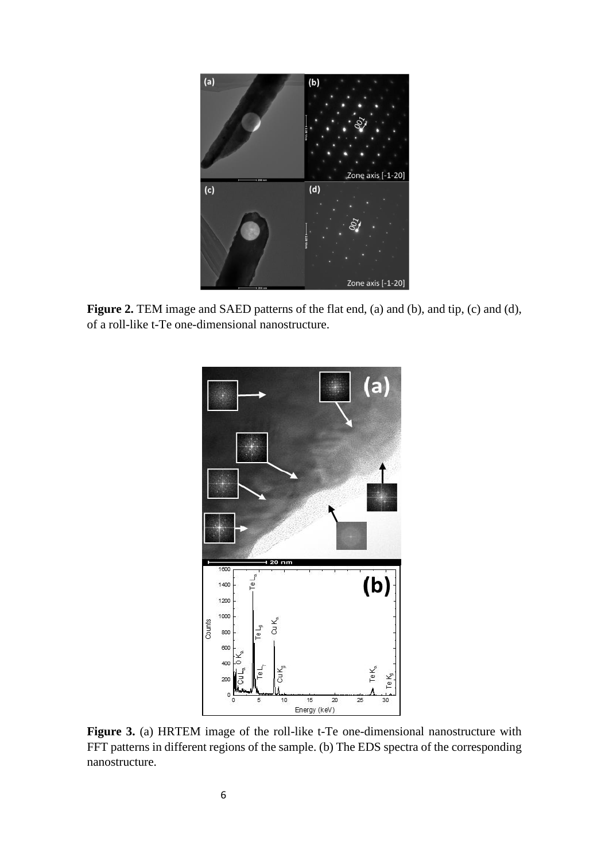

Figure 2. TEM image and SAED patterns of the flat end, (a) and (b), and tip, (c) and (d), of a roll-like t-Te one-dimensional nanostructure.



**Figure 3.** (a) HRTEM image of the roll-like t-Te one-dimensional nanostructure with FFT patterns in different regions of the sample. (b) The EDS spectra of the corresponding nanostructure.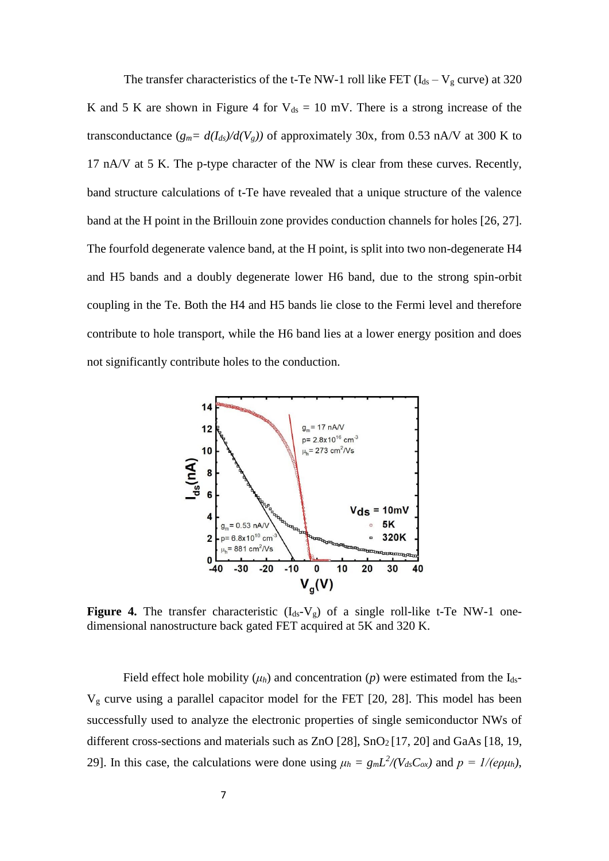The transfer characteristics of the t-Te NW-1 roll like FET ( $I_{ds} - V_g$  curve) at 320 K and 5 K are shown in Figure 4 for  $V_{ds} = 10$  mV. There is a strong increase of the transconductance  $(g_m = d(I_{ds})/d(V_g))$  of approximately 30x, from 0.53 nA/V at 300 K to 17 nA/V at 5 K. The p-type character of the NW is clear from these curves. Recently, band structure calculations of t-Te have revealed that a unique structure of the valence band at the H point in the Brillouin zone provides conduction channels for holes [26, 27]. The fourfold degenerate valence band, at the H point, is split into two non-degenerate H4 and H5 bands and a doubly degenerate lower H6 band, due to the strong spin-orbit coupling in the Te. Both the H4 and H5 bands lie close to the Fermi level and therefore contribute to hole transport, while the H6 band lies at a lower energy position and does not significantly contribute holes to the conduction.



**Figure 4.** The transfer characteristic  $(I_{ds}-V_{g})$  of a single roll-like t-Te NW-1 onedimensional nanostructure back gated FET acquired at 5K and 320 K.

Field effect hole mobility  $(\mu_h)$  and concentration  $(p)$  were estimated from the I<sub>ds</sub>- $V<sub>g</sub>$  curve using a parallel capacitor model for the FET [20, 28]. This model has been successfully used to analyze the electronic properties of single semiconductor NWs of different cross-sections and materials such as ZnO [28], SnO<sub>2</sub> [17, 20] and GaAs [18, 19, 29]. In this case, the calculations were done using  $\mu_h = g_m L^2 / (V_{ds} C_{ox})$  and  $p = 1 / (e \rho \mu_h)$ ,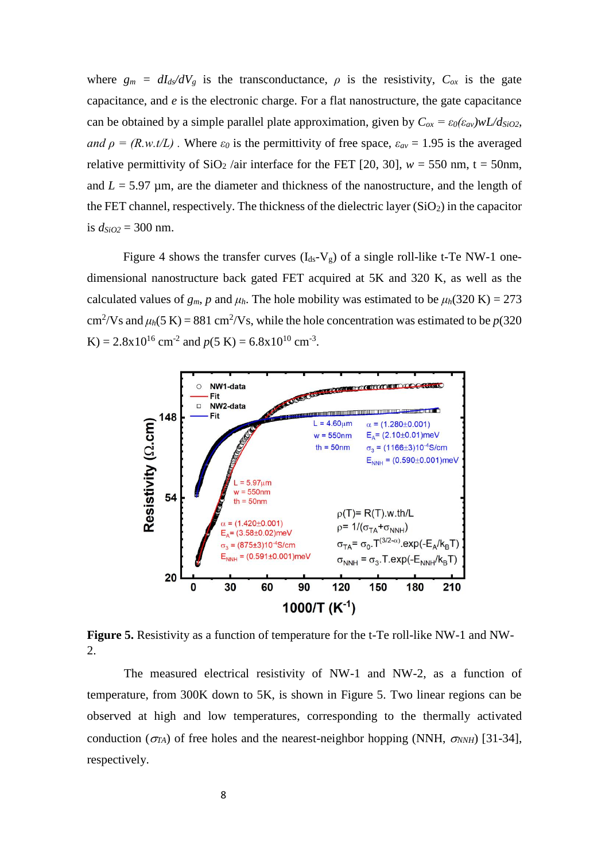where  $g_m = dI_d/dV_g$  is the transconductance,  $\rho$  is the resistivity,  $C_{ox}$  is the gate capacitance, and *e* is the electronic charge. For a flat nanostructure, the gate capacitance can be obtained by a simple parallel plate approximation, given by  $C_{ox} = \varepsilon_0(\varepsilon_{av})wL/d_{SiO2}$ , *and*  $\rho = (R.w.t/L)$ . Where  $\varepsilon_0$  is the permittivity of free space,  $\varepsilon_{av} = 1.95$  is the averaged relative permittivity of  $SiO_2$  /air interface for the FET [20, 30],  $w = 550$  nm, t = 50nm, and  $L = 5.97 \mu m$ , are the diameter and thickness of the nanostructure, and the length of the FET channel, respectively. The thickness of the dielectric layer  $(SiO<sub>2</sub>)$  in the capacitor is *dSiO2* = 300 nm.

Figure 4 shows the transfer curves  $(I_{ds}-V_g)$  of a single roll-like t-Te NW-1 onedimensional nanostructure back gated FET acquired at 5K and 320 K, as well as the calculated values of  $g_m$ , *p* and  $\mu_h$ . The hole mobility was estimated to be  $\mu_h(320 \text{ K}) = 273$ cm<sup>2</sup>/Vs and  $\mu_h$ (5 K) = 881 cm<sup>2</sup>/Vs, while the hole concentration was estimated to be  $p(320)$ K) =  $2.8 \times 10^{16}$  cm<sup>-2</sup> and  $p(5 \text{ K}) = 6.8 \times 10^{10}$  cm<sup>-3</sup>.



**Figure 5.** Resistivity as a function of temperature for the t-Te roll-like NW-1 and NW-2.

The measured electrical resistivity of NW-1 and NW-2, as a function of temperature, from 300K down to 5K, is shown in Figure 5. Two linear regions can be observed at high and low temperatures, corresponding to the thermally activated conduction ( $\sigma_{TA}$ ) of free holes and the nearest-neighbor hopping (NNH,  $\sigma_{NNH}$ ) [31-34], respectively.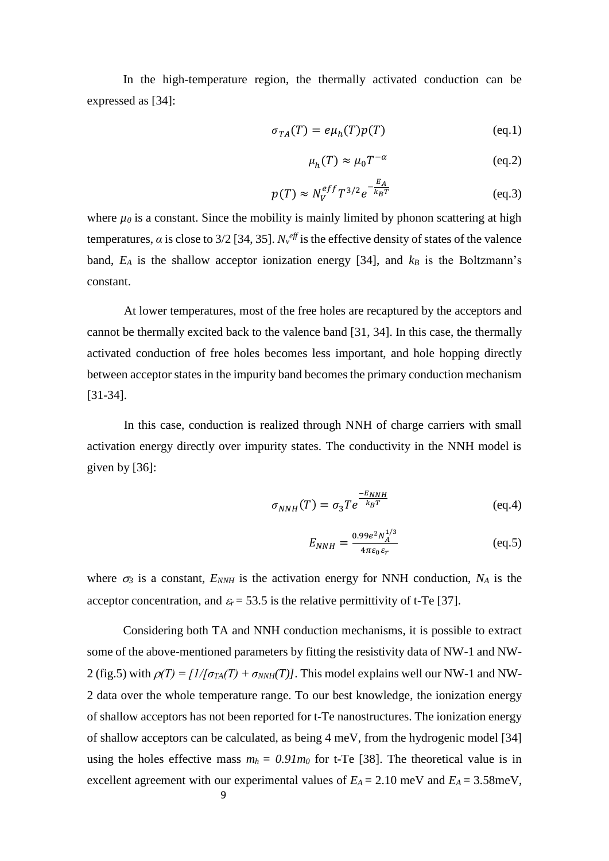In the high-temperature region, the thermally activated conduction can be expressed as [34]:

$$
\sigma_{TA}(T) = e\mu_h(T)p(T) \tag{eq.1}
$$

$$
\mu_h(T) \approx \mu_0 T^{-\alpha} \tag{eq.2}
$$

$$
p(T) \approx N_V^{eff} T^{3/2} e^{-\frac{E_A}{k_B T}}
$$
 (eq.3)

where  $\mu_0$  is a constant. Since the mobility is mainly limited by phonon scattering at high temperatures,  $\alpha$  is close to 3/2 [34, 35].  $N_v^{eff}$  is the effective density of states of the valence band,  $E_A$  is the shallow acceptor ionization energy [34], and  $k_B$  is the Boltzmann's constant.

At lower temperatures, most of the free holes are recaptured by the acceptors and cannot be thermally excited back to the valence band [31, 34]. In this case, the thermally activated conduction of free holes becomes less important, and hole hopping directly between acceptor states in the impurity band becomes the primary conduction mechanism [31-34].

In this case, conduction is realized through NNH of charge carriers with small activation energy directly over impurity states. The conductivity in the NNH model is given by [36]:

$$
\sigma_{NNH}(T) = \sigma_3 T e^{\frac{-E_{NNH}}{k_B T}}
$$
 (eq.4)

$$
E_{NNH} = \frac{0.99e^2 N_A^{1/3}}{4\pi\varepsilon_0 \varepsilon_r} \tag{eq.5}
$$

where  $\sigma_3$  is a constant,  $E_{NNH}$  is the activation energy for NNH conduction,  $N_A$  is the acceptor concentration, and  $\varepsilon_r = 53.5$  is the relative permittivity of t-Te [37].

Considering both TA and NNH conduction mechanisms, it is possible to extract some of the above-mentioned parameters by fitting the resistivity data of NW-1 and NW-2 (fig.5) with  $\rho(T) = \frac{I}{\sigma_{TA}(T)} + \sigma_{NNH}(T)$ . This model explains well our NW-1 and NW-2 data over the whole temperature range. To our best knowledge, the ionization energy of shallow acceptors has not been reported for t-Te nanostructures. The ionization energy of shallow acceptors can be calculated, as being 4 meV, from the hydrogenic model [34] using the holes effective mass  $m_h = 0.91m_0$  for t-Te [38]. The theoretical value is in excellent agreement with our experimental values of  $E_A = 2.10$  meV and  $E_A = 3.58$ meV,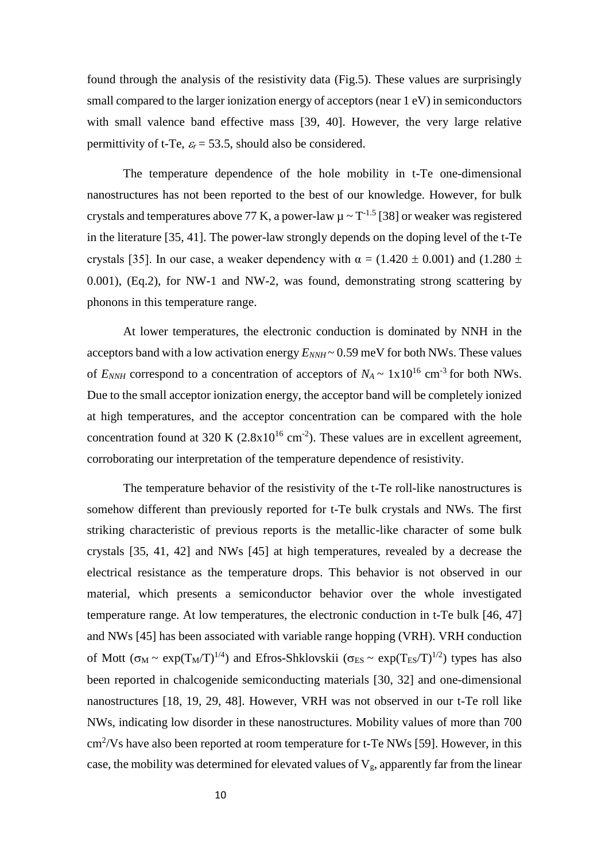found through the analysis of the resistivity data (Fig.5). These values are surprisingly small compared to the larger ionization energy of acceptors (near 1 eV) in semiconductors with small valence band effective mass [39, 40]. However, the very large relative permittivity of t-Te,  $\varepsilon_r = 53.5$ , should also be considered.

The temperature dependence of the hole mobility in t-Te one-dimensional nanostructures has not been reported to the best of our knowledge. However, for bulk crystals and temperatures above 77 K, a power-law  $\mu \sim T^{-1.5}$  [38] or weaker was registered in the literature [35, 41]. The power-law strongly depends on the doping level of the t-Te crystals [35]. In our case, a weaker dependency with  $\alpha = (1.420 \pm 0.001)$  and  $(1.280 \pm 0.001)$ 0.001), (Eq.2), for NW-1 and NW-2, was found, demonstrating strong scattering by phonons in this temperature range.

At lower temperatures, the electronic conduction is dominated by NNH in the acceptors band with a low activation energy  $E_{NNH} \sim 0.59$  meV for both NWs. These values of  $E_{NNH}$  correspond to a concentration of acceptors of  $N_A \sim 1 \times 10^{16}$  cm<sup>-3</sup> for both NWs. Due to the small acceptor ionization energy, the acceptor band will be completely ionized at high temperatures, and the acceptor concentration can be compared with the hole concentration found at 320 K  $(2.8x10^{16} \text{ cm}^2)$ . These values are in excellent agreement, corroborating our interpretation of the temperature dependence of resistivity.

The temperature behavior of the resistivity of the t-Te roll-like nanostructures is somehow different than previously reported for t-Te bulk crystals and NWs. The first striking characteristic of previous reports is the metallic-like character of some bulk crystals [35, 41, 42] and NWs [45] at high temperatures, revealed by a decrease the electrical resistance as the temperature drops. This behavior is not observed in our material, which presents a semiconductor behavior over the whole investigated temperature range. At low temperatures, the electronic conduction in t-Te bulk [46, 47] and NWs [45] has been associated with variable range hopping (VRH). VRH conduction of Mott ( $\sigma_M \sim \exp(T_M/T)^{1/4}$ ) and Efros-Shklovskii ( $\sigma_{ES} \sim \exp(T_{ES}/T)^{1/2}$ ) types has also been reported in chalcogenide semiconducting materials [30, 32] and one-dimensional nanostructures [18, 19, 29, 48]. However, VRH was not observed in our t-Te roll like NWs, indicating low disorder in these nanostructures. Mobility values of more than 700 cm<sup>2</sup>/Vs have also been reported at room temperature for t-Te NWs [59]. However, in this case, the mobility was determined for elevated values of  $V_g$ , apparently far from the linear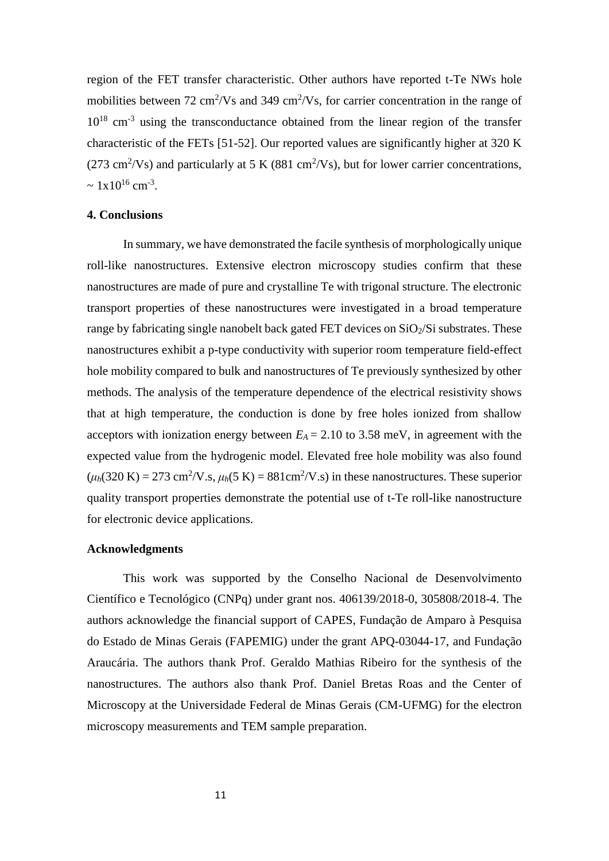region of the FET transfer characteristic. Other authors have reported t-Te NWs hole mobilities between  $72 \text{ cm}^2/\text{Vs}$  and  $349 \text{ cm}^2/\text{Vs}$ , for carrier concentration in the range of 10<sup>18</sup> cm<sup>-3</sup> using the transconductance obtained from the linear region of the transfer characteristic of the FETs [51-52]. Our reported values are significantly higher at 320 K (273 cm<sup>2</sup>/Vs) and particularly at 5 K (881 cm<sup>2</sup>/Vs), but for lower carrier concentrations,  $\sim 1 \times 10^{16}$  cm<sup>-3</sup>.

#### **4. Conclusions**

In summary, we have demonstrated the facile synthesis of morphologically unique roll-like nanostructures. Extensive electron microscopy studies confirm that these nanostructures are made of pure and crystalline Te with trigonal structure. The electronic transport properties of these nanostructures were investigated in a broad temperature range by fabricating single nanobelt back gated FET devices on  $SiO<sub>2</sub>/Si$  substrates. These nanostructures exhibit a p-type conductivity with superior room temperature field-effect hole mobility compared to bulk and nanostructures of Te previously synthesized by other methods. The analysis of the temperature dependence of the electrical resistivity shows that at high temperature, the conduction is done by free holes ionized from shallow acceptors with ionization energy between  $E_A = 2.10$  to 3.58 meV, in agreement with the expected value from the hydrogenic model. Elevated free hole mobility was also found  $(\mu_h(320 \text{ K}) = 273 \text{ cm}^2/\text{V} \cdot \text{s}, \mu_h(5 \text{ K}) = 881 \text{ cm}^2/\text{V} \cdot \text{s})$  in these nanostructures. These superior quality transport properties demonstrate the potential use of t-Te roll-like nanostructure for electronic device applications.

## **Acknowledgments**

This work was supported by the Conselho Nacional de Desenvolvimento Científico e Tecnológico (CNPq) under grant nos. 406139/2018-0, 305808/2018-4. The authors acknowledge the financial support of CAPES, Fundação de Amparo à Pesquisa do Estado de Minas Gerais (FAPEMIG) under the grant APQ-03044-17, and Fundação Araucária. The authors thank Prof. Geraldo Mathias Ribeiro for the synthesis of the nanostructures. The authors also thank Prof. Daniel Bretas Roas and the Center of Microscopy at the Universidade Federal de Minas Gerais (CM-UFMG) for the electron microscopy measurements and TEM sample preparation.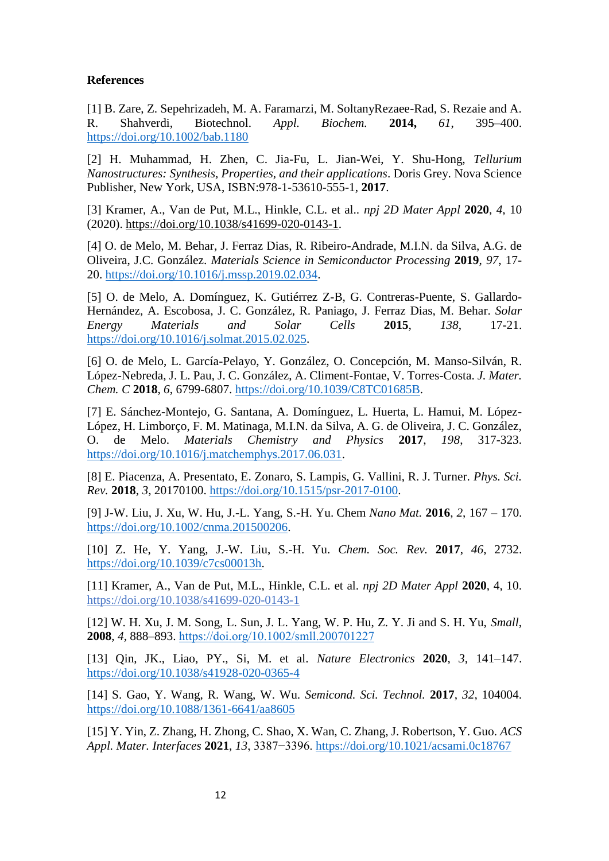# **References**

[1] B. Zare, Z. Sepehrizadeh, M. A. Faramarzi, M. SoltanyRezaee-Rad, S. Rezaie and A. R. Shahverdi, Biotechnol. *Appl. Biochem.* **2014,** *61*, 395–400. <https://doi.org/10.1002/bab.1180>

[2] H. Muhammad, H. Zhen, C. Jia-Fu, L. Jian-Wei, Y. Shu-Hong, *Tellurium Nanostructures: Synthesis, Properties, and their applications*. Doris Grey. Nova Science Publisher, New York, USA, ISBN:978-1-53610-555-1, **2017**.

[3] Kramer, A., Van de Put, M.L., Hinkle, C.L. et al.. *npj 2D Mater Appl* **2020**, *4*, 10 (2020). [https://doi.org/10.1038/s41699-020-0143-1.](https://doi.org/10.1038/s41699-020-0143-1)

[4] O. de Melo, M. Behar, J. Ferraz Dias, R. Ribeiro-Andrade, M.I.N. da Silva, A.G. de Oliveira, J.C. González. *Materials Science in Semiconductor Processing* **2019**, *97*, 17- 20. [https://doi.org/10.1016/j.mssp.2019.02.034.](https://doi.org/10.1016/j.mssp.2019.02.034)

[5] O. de Melo, A. Domínguez, K. Gutiérrez Z-B, G. Contreras-Puente, S. Gallardo-Hernández, A. Escobosa, J. C. González, R. Paniago, J. Ferraz Dias, M. Behar. *Solar Energy Materials and Solar Cells* **2015**, *138*, 17-21. [https://doi.org/10.1016/j.solmat.2015.02.025.](https://doi.org/10.1016/j.solmat.2015.02.025)

[6] O. de Melo, L. García-Pelayo, Y. González, O. Concepción, M. Manso-Silván, R. López-Nebreda, J. L. Pau, J. C. González, A. Climent-Fontae, V. Torres-Costa. *J. Mater. Chem. C* **2018**, *6*, 6799-6807. [https://doi.org/10.1039/C8TC01685B.](https://doi.org/10.1039/C8TC01685B)

[7] E. Sánchez-Montejo, G. Santana, A. Domínguez, L. Huerta, L. Hamui, M. López-López, H. Limborço, F. M. Matinaga, M.I.N. da Silva, A. G. de Oliveira, J. C. González, O. de Melo. *Materials Chemistry and Physics* **2017**, *198*, 317-323. [https://doi.org/10.1016/j.matchemphys.2017.06.031.](https://doi.org/10.1016/j.matchemphys.2017.06.031)

[8] E. Piacenza, A. Presentato, E. Zonaro, S. Lampis, G. Vallini, R. J. Turner. *Phys. Sci. Rev.* **2018**, *3*, 20170100. [https://doi.org/10.1515/psr-2017-0100.](https://doi.org/10.1515/psr-2017-0100)

[9] J-W. Liu, J. Xu, W. Hu, J.-L. Yang, S.-H. Yu. Chem *Nano Mat.* **2016**, *2*, 167 – 170. [https://doi.org/10.1002/cnma.201500206.](https://doi.org/10.1002/cnma.201500206)

[10] Z. He, Y. Yang, J.-W. Liu, S.-H. Yu. *Chem. Soc. Rev.* **2017**, *46*, 2732. [https://doi.org/10.1039/c7cs00013h.](https://doi.org/10.1039/c7cs00013h)

[11] Kramer, A., Van de Put, M.L., Hinkle, C.L. et al. *npj 2D Mater Appl* **2020**, 4, 10. <https://doi.org/10.1038/s41699-020-0143-1>

[12] W. H. Xu, J. M. Song, L. Sun, J. L. Yang, W. P. Hu, Z. Y. Ji and S. H. Yu, *Small*, **2008**, *4*, 888–893. <https://doi.org/10.1002/smll.200701227>

[13] Qin, JK., Liao, PY., Si, M. et al. *Nature Electronics* **2020**, *3*, 141–147. <https://doi.org/10.1038/s41928-020-0365-4>

[14] S. Gao, Y. Wang, R. Wang, W. Wu. *Semicond. Sci. Technol.* **2017**, *32*, 104004. <https://doi.org/10.1088/1361-6641/aa8605>

[15] Y. Yin, Z. Zhang, H. Zhong, C. Shao, X. Wan, C. Zhang, J. Robertson, Y. Guo. *ACS Appl. Mater. Interfaces* **2021**, *13*, 3387−3396.<https://doi.org/10.1021/acsami.0c18767>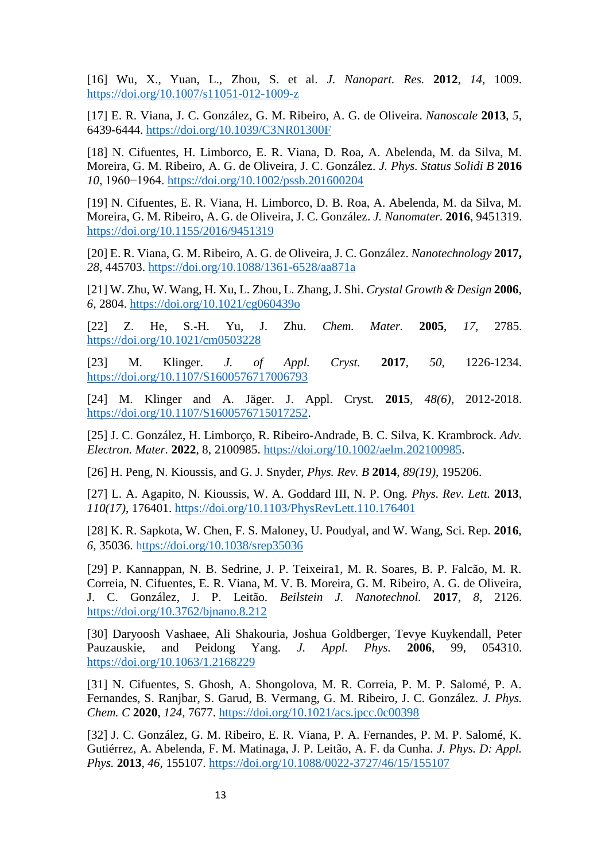[16] Wu, X., Yuan, L., Zhou, S. et al. *J. Nanopart. Res.* **2012**, *14*, 1009. <https://doi.org/10.1007/s11051-012-1009-z>

[17] E. R. Viana, J. C. González, G. M. Ribeiro, A. G. de Oliveira. *Nanoscale* **2013**, *5*, 6439-6444.<https://doi.org/10.1039/C3NR01300F>

[18] N. Cifuentes, H. Limborco, E. R. Viana, D. Roa, A. Abelenda, M. da Silva, M. Moreira, G. M. Ribeiro, A. G. de Oliveira, J. C. González. *J. Phys. Status Solidi B* **2016** *10*, 1960−1964.<https://doi.org/10.1002/pssb.201600204>

[19] N. Cifuentes, E. R. Viana, H. Limborco, D. B. Roa, A. Abelenda, M. da Silva, M. Moreira, G. M. Ribeiro, A. G. de Oliveira, J. C. González. *J. Nanomater.* **2016**, 9451319. <https://doi.org/10.1155/2016/9451319>

[20] E. R. Viana, G. M. Ribeiro, A. G. de Oliveira, J. C. González. *Nanotechnology* **2017,**  *28*, 445703.<https://doi.org/10.1088/1361-6528/aa871a>

[21] W. Zhu, W. Wang, H. Xu, L. Zhou, L. Zhang, J. Shi. *Crystal Growth & Design* **2006**, *6*, 2804.<https://doi.org/10.1021/cg060439o>

[22] Z. He, S.-H. Yu, J. Zhu. *Chem. Mater.* **2005**, *17*, 2785. <https://doi.org/10.1021/cm0503228>

[23] M. Klinger. *J. of Appl. Cryst.* **2017**, *50*, 1226-1234. <https://doi.org/10.1107/S1600576717006793>

[24] M. Klinger and A. Jäger. J. Appl. Cryst. **2015**, *48(6)*, 2012-2018. [https://doi.org/10.1107/S1600576715017252.](https://doi.org/10.1107/S1600576715017252)

[25] J. C. González, H. Limborço, R. Ribeiro-Andrade, B. C. Silva, K. Krambrock. *Adv. Electron. Mater.* **2022**, 8, 2100985. https://doi.org/10.1002/aelm.202100985.

[26] H. Peng, N. Kioussis, and G. J. Snyder, *Phys. Rev. B* **2014**, *89(19)*, 195206.

[27] L. A. Agapito, N. Kioussis, W. A. Goddard III, N. P. Ong. *Phys. Rev. Lett.* **2013**, *110(17)*, 176401.<https://doi.org/10.1103/PhysRevLett.110.176401>

[28] K. R. Sapkota, W. Chen, F. S. Maloney, U. Poudyal, and W. Wang, Sci. Rep. **2016**, *6*, 35036.<https://doi.org/10.1038/srep35036>

[29] P. Kannappan, N. B. Sedrine, J. P. Teixeira1, M. R. Soares, B. P. Falcão, M. R. Correia, N. Cifuentes, E. R. Viana, M. V. B. Moreira, G. M. Ribeiro, A. G. de Oliveira, J. C. González, J. P. Leitão. *Beilstein J. Nanotechnol.* **2017**, *8*, 2126. <https://doi.org/10.3762/bjnano.8.212>

[30] Daryoosh Vashaee, Ali Shakouria, Joshua Goldberger, Tevye Kuykendall, Peter Pauzauskie, and Peidong Yang. *J. Appl. Phys.* **2006**, 99, 054310. https://doi.org/10.1063/1.2168229

[31] N. Cifuentes, S. Ghosh, A. Shongolova, M. R. Correia, P. M. P. Salomé, P. A. Fernandes, S. Ranjbar, S. Garud, B. Vermang, G. M. Ribeiro, J. C. González. *J. Phys. Chem. C* **2020**, *124*, 7677.<https://doi.org/10.1021/acs.jpcc.0c00398>

[32] J. C. González, G. M. Ribeiro, E. R. Viana, P. A. Fernandes, P. M. P. Salomé, K. Gutiérrez, A. Abelenda, F. M. Matinaga, J. P. Leitão, A. F. da Cunha. *J. Phys. D: Appl. Phys.* **2013**, *46*, 155107.<https://doi.org/10.1088/0022-3727/46/15/155107>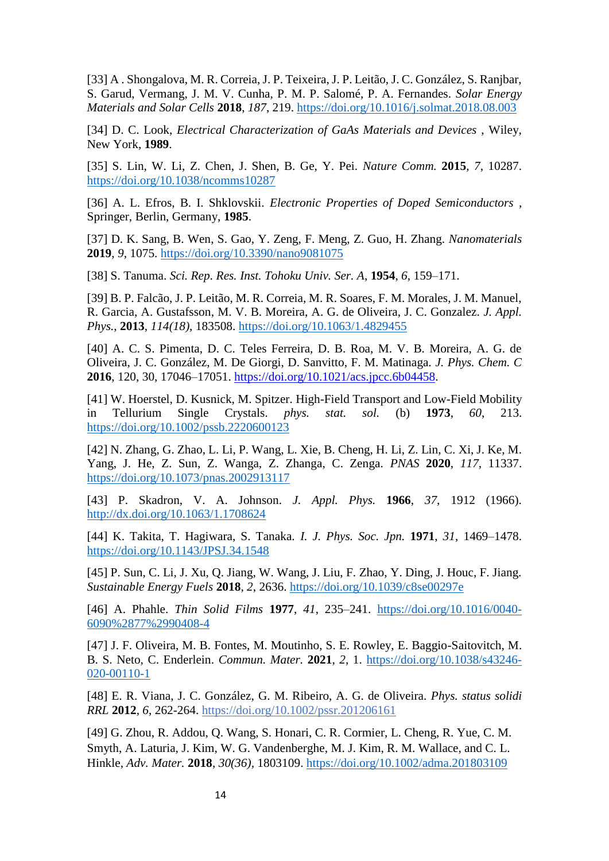[33] A . Shongalova, M. R. Correia, J. P. Teixeira, J. P. Leitão, J. C. González, S. Ranjbar, S. Garud, Vermang, J. M. V. Cunha, P. M. P. Salomé, P. A. Fernandes. *Solar Energy Materials and Solar Cells* **2018**, *187*, 219.<https://doi.org/10.1016/j.solmat.2018.08.003>

[34] D. C. Look, *Electrical Characterization of GaAs Materials and Devices* , Wiley, New York, **1989**.

[35] S. Lin, W. Li, Z. Chen, J. Shen, B. Ge, Y. Pei. *Nature Comm.* **2015**, *7*, 10287. <https://doi.org/10.1038/ncomms10287>

[36] A. L. Efros, B. I. Shklovskii. *Electronic Properties of Doped Semiconductors* , Springer, Berlin, Germany, **1985**.

[37] D. K. Sang, B. Wen, S. Gao, Y. Zeng, F. Meng, Z. Guo, H. Zhang. *Nanomaterials* **2019**, *9*, 1075.<https://doi.org/10.3390/nano9081075>

[38] S. Tanuma. *Sci. Rep. Res. Inst. Tohoku Univ. Ser. A*, **1954**, *6*, 159–171.

[39] B. P. Falcão, J. P. Leitão, M. R. Correia, M. R. Soares, F. M. Morales, J. M. Manuel, R. Garcia, A. Gustafsson, M. V. B. Moreira, A. G. de Oliveira, J. C. Gonzalez. *J. Appl. Phys.*, **2013**, *114(18)*, 183508.<https://doi.org/10.1063/1.4829455>

[40] A. C. S. Pimenta, D. C. Teles Ferreira, D. B. Roa, M. V. B. Moreira, A. G. de Oliveira, J. C. González, M. De Giorgi, D. Sanvitto, F. M. Matinaga. *J. Phys. Chem. C* **2016**, 120, 30, 17046–17051. [https://doi.org/10.1021/acs.jpcc.6b04458.](https://doi.org/10.1021/acs.jpcc.6b04458)

[41] W. Hoerstel, D. Kusnick, M. Spitzer. High-Field Transport and Low-Field Mobility in Tellurium Single Crystals. *phys. stat. sol.* (b) **1973**, *60*, 213. <https://doi.org/10.1002/pssb.2220600123>

[42] N. Zhang, G. Zhao, L. Li, P. Wang, L. Xie, B. Cheng, H. Li, Z. Lin, C. Xi, J. Ke, M. Yang, J. He, Z. Sun, Z. Wanga, Z. Zhanga, C. Zenga. *PNAS* **2020**, *117*, 11337. <https://doi.org/10.1073/pnas.2002913117>

[43] P. Skadron, V. A. Johnson. *J. Appl. Phys.* **1966**, *37*, 1912 (1966). <http://dx.doi.org/10.1063/1.1708624>

[44] K. Takita, T. Hagiwara, S. Tanaka. *I. J. Phys. Soc. Jpn.* **1971**, *31*, 1469–1478. <https://doi.org/10.1143/JPSJ.34.1548>

[45] P. Sun, C. Li, J. Xu, Q. Jiang, W. Wang, J. Liu, F. Zhao, Y. Ding, J. Houc, F. Jiang. *Sustainable Energy Fuels* **2018**, *2*, 2636.<https://doi.org/10.1039/c8se00297e>

[46] A. Phahle. *Thin Solid Films* **1977**, *41*, 235–241. [https://doi.org/10.1016/0040-](https://doi.org/10.1016/0040-6090%2877%2990408-4) [6090%2877%2990408-4](https://doi.org/10.1016/0040-6090%2877%2990408-4)

[47] J. F. Oliveira, M. B. Fontes, M. Moutinho, S. E. Rowley, E. Baggio-Saitovitch, M. B. S. Neto, C. Enderlein. *Commun. Mater.* **2021**, *2*, 1. [https://doi.org/10.1038/s43246-](https://doi.org/10.1038/s43246-020-00110-1) [020-00110-1](https://doi.org/10.1038/s43246-020-00110-1)

[48] E. R. Viana, J. C. González, G. M. Ribeiro, A. G. de Oliveira. *Phys. status solidi RRL* **2012**, *6*, 262-264.<https://doi.org/10.1002/pssr.201206161>

[49] G. Zhou, R. Addou, Q. Wang, S. Honari, C. R. Cormier, L. Cheng, R. Yue, C. M. Smyth, A. Laturia, J. Kim, W. G. Vandenberghe, M. J. Kim, R. M. Wallace, and C. L. Hinkle, *Adv. Mater.* **2018**, *30(36),* 1803109.<https://doi.org/10.1002/adma.201803109>